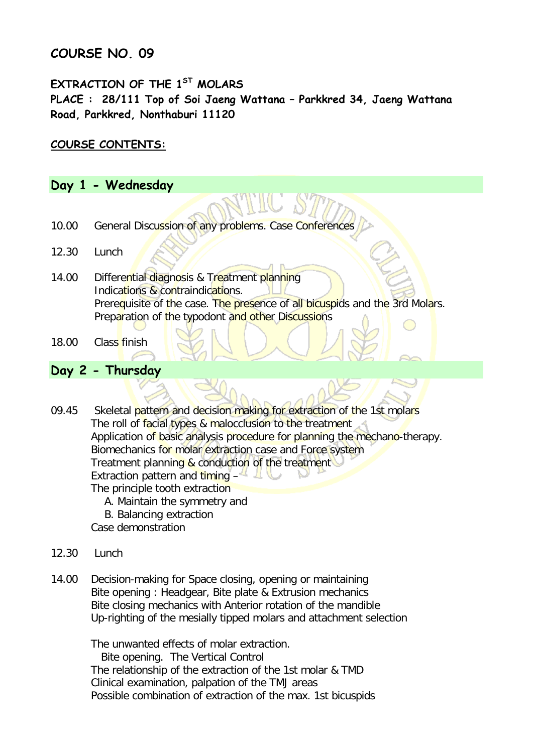## **COURSE NO. 09**

## **EXTRACTION OF THE 1ST MOLARS PLACE : 28/111 Top of Soi Jaeng Wattana – Parkkred 34, Jaeng Wattana Road, Parkkred, Nonthaburi 11120**

### **COURSE CONTENTS:**

### **Day 1 - Wednesday**

- 10.00 General Discussion of any problems. Case Conferences
- 12.30 Lunch
- 14.00 Differential diagnosis & Treatment planning Indications & contraindications. Prerequisite of the case. The presence of all bicuspids and the 3rd Molars. Preparation of the typodont and other Discussions
- 18.00 Class finish

#### **Day 2 - Thursday**

09.45 Skeletal pattern and decision making for extraction of the 1st molars The roll of facial types & malocclusion to the treatment Application of basic analysis procedure for planning the mechano-therapy. Biomechanics for molar extraction case and Force system Treatment planning & conduction of the treatment Extraction pattern and timing  $-4$ The principle tooth extraction A. Maintain the symmetry and

- 
- B. Balancing extraction
- Case demonstration
- 12.30 Lunch
- 14.00 Decision-making for Space closing, opening or maintaining Bite opening : Headgear, Bite plate & Extrusion mechanics Bite closing mechanics with Anterior rotation of the mandible Up-righting of the mesially tipped molars and attachment selection

The unwanted effects of molar extraction.

 Bite opening. The Vertical Control The relationship of the extraction of the 1st molar & TMD Clinical examination, palpation of the TMJ areas Possible combination of extraction of the max. 1st bicuspids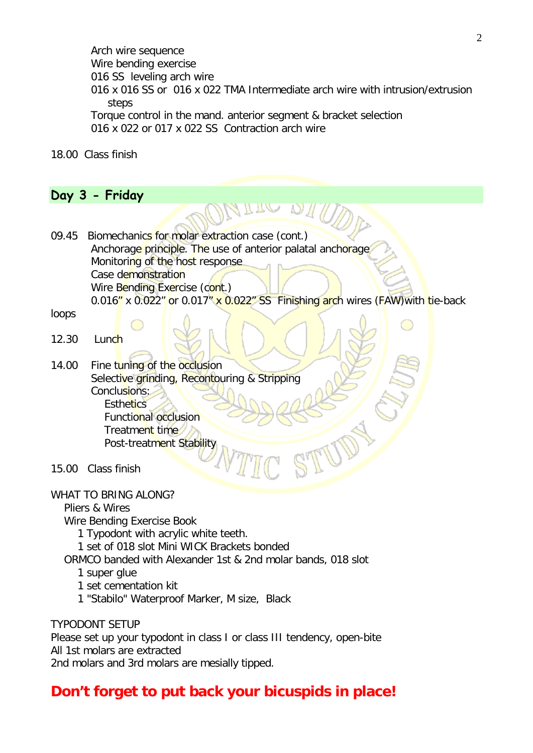Arch wire sequence Wire bending exercise 016 SS leveling arch wire 016 x 016 SS or 016 x 022 TMA Intermediate arch wire with intrusion/extrusion steps Torque control in the mand. anterior segment & bracket selection 016 x 022 or 017 x 022 SS Contraction arch wire

18.00 Class finish

## **Day 3 - Friday**

09.45 Biomechanics for molar extraction case (cont.) Anchorage principle. The use of anterior palatal anchorage Monitoring of the host response Case demonstration Wire Bending Exercise (cont.) 0.016" x 0.022" or 0.017" x 0.022" SS Finishing arch wires (FAW) with tie-back

loops

- $12.30$  Lunch
- 14.00 Fine tuning of the occlusion Selective grinding, Recontouring & Stripping Conclusions: **Esthetics**  Functional occlusion Treatment time Post-treatment Stability

15.00 Class finish

WHAT TO BRING ALONG?

Pliers & Wires

Wire Bending Exercise Book

1 Typodont with acrylic white teeth.

1 set of 018 slot Mini WICK Brackets bonded

ORMCO banded with Alexander 1st & 2nd molar bands, 018 slot

- 1 super glue
- 1 set cementation kit
- 1 "Stabilo" Waterproof Marker, M size, Black

TYPODONT SETUP Please set up your typodont in class I or class III tendency, open-bite All 1st molars are extracted 2nd molars and 3rd molars are mesially tipped.

# **Don't forget to put back your bicuspids in place!**